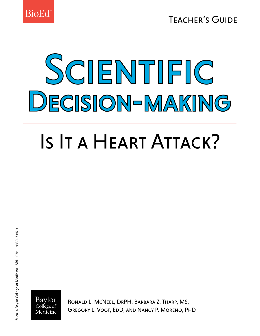

**TEACHER'S GUIDE** 

# SCIENTIFIC DECISION-MAKING

## IS IT A HEART ATTACK?



RONALD L. MCNEEL, DRPH, BARBARA Z. THARP, MS, GREGORY L. VOGT, EDD, AND NANCY P. MORENO, PHD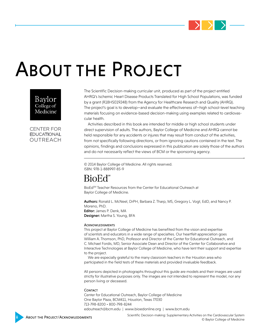

### About the Project



The Scientific Decision-making curricular unit, produced as part of the project entitled AHRQ's Ischemic Heart Disease Products Translated for High School Populations, was funded by a grant (R18HS019248) from the Agency for Healthcare Research and Quality (AHRQ). The project's goal is to develop—and evaluate the effectiveness of—high school-level teaching materials focusing on evidence-based decision-making using examples related to cardiovascular health.

**CENTER FOR EDUCATIONAL OUTREACH** 

Activities described in this book are intended for middle or high school students under direct supervision of adults. The authors, Baylor College of Medicine and AHRQ cannot be held responsible for any accidents or injures that may result from conduct of the activities, from not specifically following directions, or from ignoring cautions contained in the text. The opinions, findings and conclusions expressed in this publication are solely those of the authors and do not necessarily reflect the views of BCM or the sponsoring agency.

© 2014 Baylor College of Medicine. All rights reserved. ISBN: 978-1-888997-85-9

### BioEd<sup>\*</sup>

BioEd<sup>SM</sup> Teacher Resources from the Center for Educational Outreach at Baylor College of Medicine.

Authors: Ronald L. McNeel, DrPH, Barbara Z. Tharp, MS, Gregory L. Vogt, EdD, and Nancy P. Moreno, PhD. Editor: James P. Denk, MA Designer: Martha S. Young, BFA

#### **ACKNOWLEDGMENTS**

This project at Baylor College of Medicine has benefited from the vision and expertise of scientists and educators in a wide range of specialties. Our heartfelt appreciation goes William A. Thomson, PhD, Professor and Director of the Center for Educational Outreach, and C. Michael Fordis, MD, Senior Associate Dean and Director of the Center for Collaborative and Interactive Technologies at Baylor College of Medicine, who have lent their support and expertise to the project.

We are especially grateful to the many classroom teachers in the Houston area who participated in the field tests of these materials and provided invaluable feedback.

All persons depicted in photographs throughout this guide are models and their images are used strictly for illustrative purposes only. The images are not intended to represent the model, nor any person living or deceased.

#### **CONTACT**

Center for Educational Outreach, Baylor College of Medicine One Baylor Plaza, BCM411, Houston, Texas 77030 713-798-8200 • 800-798-8244 edoutreach@bcm.edu | www.bioedonline.org | www.bcm.edu

Scientific Decision-making: Supplementary Activities on the Cardiovascular System **EXECUTE THE PROJECT/ACKNOWLEDGMENTS**<br>© Baylor College of Medicine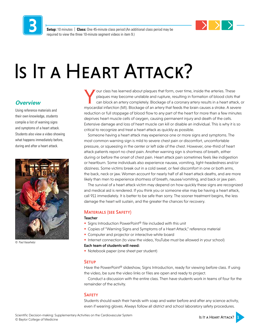

**Setup:** 10 minutes | **Class:** One 45-minute class period (An additional class period may be required to view the three 10-minute segment videos in item 9.)

### Is It a Heart Attack?

#### *Overview*

Using reference materials and their own knowledge, students compile a list of warning signs and symptoms of a heart attack. Students also view a video showing what happens immediately before, during and after a heart attack.



© Paul Vasarhelyi

Y our class has learned about plaques that form, over time, inside the arteries. These<br>plaques may become unstable and rupture, resulting in formation of blood clots the<br>can block an artery completely. Blockage of a corona plaques may become unstable and rupture, resulting in formation of blood clots that can block an artery completely. Blockage of a coronary artery results in a heart attack, or myocardial infarction (MI). Blockage of an artery that feeds the brain causes a stroke. A severe reduction or full stoppage of blood flow to any part of the heart for more than a few minutes deprives heart muscle cells of oxygen, causing permanent injury and death of the cells. Extensive damage and loss of heart muscle can kill or disable an individual. This is why it is so critical to recognize and treat a heart attack as quickly as possible.

Someone having a heart attack may experience one or more signs and symptoms. The most common warning sign is mild to severe chest pain or discomfort, uncomfortable pressure, or squeezing in the center or left side of the chest. However, one-third of heart attack patients report no chest pain. Another warning sign is shortness of breath, either during or before the onset of chest pain. Heart attack pain sometimes feels like indigestion or heartburn. Some individuals also experience nausea, vomiting, light-headedness and/or dizziness. Some victims break out in a cold sweat, or feel discomfort in one or both arms, the back, neck or jaw. Women account for nearly half of all heart attack deaths, and are more likely than men to experience shortness of breath, nausea/vomiting, and back or jaw pain.

The survival of a heart attack victim may depend on how quickly these signs are recognized and medical aid is rendered. If you think you or someone else may be having a heart attack, call 911 immediately. It is better to be safe than sorry. The sooner treatment begins, the less damage the heart will sustain, and the greater the chances for recovery.

#### Materials (see Safety)

#### Teacher

- Signs Introduction PowerPoint<sup>®</sup> file included with this unit
- Copies of "Warning Signs and Symptoms of a Heart Attack," reference material
- Computer and projector or interactive white board
- Internet connection (to view the video, YouTube must be allowed in your school)

#### Each team of students will need:

• Notebook paper (one sheet per student)

#### **SETUP**

Have the PowerPoint® slideshow, Signs Introduction, ready for viewing before class. If using the video, be sure the video links or files are open and ready to project.

Conduct a discussion with the entire class. Then have students work in teams of four for the remainder of the activity.

#### **SAFETY**

Students should wash their hands with soap and water before and after any science activity, even if wearing gloves. Always follow all district and school laboratory safety procedures.

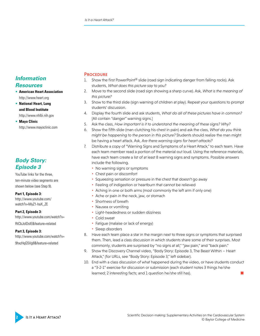#### *Information Resources*

- **American Heart Association**  <http://www.heart.org>
- **National Heart, Lung and Blood Institute**  <http://www.nhlbi.nih.gov>

• **Mayo Clinic**  <http://www.mayoclinic.com>

#### *Body Story: Episode 3*

YouTube links for the three, ten-minute video segments are shown below (see Step 9).

#### **Part 1, Episode 3:**

[http://www.youtube.com/](http://www.youtube.com/watch?v=MyZ1-haX_ZE) [watch?v=MyZ1-haX\\_ZE](http://www.youtube.com/watch?v=MyZ1-haX_ZE)

**Part 2, Episode 3:**  <http://www.youtube.com/watch?v=> RtCbJoIDslE&feature=related

**Part 3, Episode 3:**  <http://www.youtube.com/watch?v=> 9hxzHqG5Vg8&feature=related

#### **PROCEDURE**

- 1. Show the first PowerPoint<sup>®</sup> slide (road sign indicating danger from falling rocks). Ask students, *What does this picture say to you?*
- 2. Move to the second slide (road sign showing a sharp curve). Ask, *What is the meaning of this picture?*
- 3. Show to the third slide (sign warning of children at play). Repeat your questions to prompt students' discussion.
- 4. Display the fourth slide and ask students, *What do all of these pictures have in common?*  [All contain "danger" warning signs.]
- 5. Ask the class, *How important is it to understand the meaning of these signs? Why?*
- 6. Show the fifth slide (man clutching his chest in pain) and ask the class, *What do you think might be happening to the person in this picture?* Students should realize the man might be having a heart attack. Ask, *Are there warning signs for heart attacks?*
- 7. Distribute a copy of "Warning Signs and Symptoms of a Heart Attack," to each team. Have each team member read a portion of the material out loud. Using the reference materials, have each team create a list of at least 8 warning signs and symptoms. Possible answers include the following.
	- No warning signs or symptoms
	- Chest pain or discomfort
	- Squeezing sensation or pressure in the chest that doesn't go away
	- Feeling of indigestion or heartburn that cannot be relieved
	- Aching in one or both arms (most commonly the left arm if only one)
	- Ache or pain in the neck, jaw, or stomach
	- Shortness of breath
	- Nausea or vomiting
	- Light-headedness or sudden dizziness
	- Cold sweat
	- Fatigue (malaise or lack of energy)
	- Sleep disorders
- 8. Have each team place a star in the margin next to three signs or symptoms that surprised them. Then, lead a class discussion in which students share some of their surprises. Most commonly, students are surprised by "no signs at all," "jaw pain," and "back pain."
- 9. Show the Discovery Channel video, "Body Story: Episode 3, The Beast Within Heart Attack," (for URLs, see "Body Story: Episode 3," left sidebar).
- 10. End with a class discussion of what happened during the video, or have students conduct a "3-2-1" exercise for discussion or submission (each student notes 3 things he/she learned; 2 interesting facts; and 1 question he/she still has).